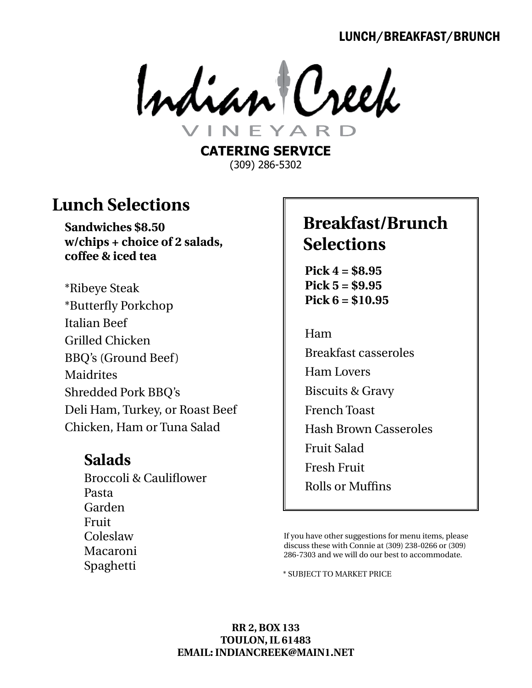### LUNCH/BREAKFAST/BRUNCH

Indian Creek

**CATERING SERVICE** (309) 286-5302

## **Lunch Selections**

**Sandwiches \$8.50 w/chips + choice of 2 salads, coffee & iced tea**

\*Ribeye Steak \*Butterfly Porkchop Italian Beef Grilled Chicken BBQ's (Ground Beef) Maidrites Shredded Pork BBQ's Deli Ham, Turkey, or Roast Beef Chicken, Ham or Tuna Salad

### **Salads**

Broccoli & Cauliflower Pasta Garden Fruit Coleslaw Macaroni Spaghetti \* \* subject to market price

# **Breakfast/Brunch Selections**

**Pick 4 = \$8.95 Pick 5 = \$9.95 Pick 6 = \$10.95**

Ham Breakfast casseroles Ham Lovers Biscuits & Gravy French Toast Hash Brown Casseroles Fruit Salad Fresh Fruit Rolls or Muffins

If you have other suggestions for menu items, please discuss these with Connie at (309) 238-0266 or (309) 286-7303 and we will do our best to accommodate.

#### **RR 2, Box 133 Toulon, IL 61483 Email: indiancreek@main1.net**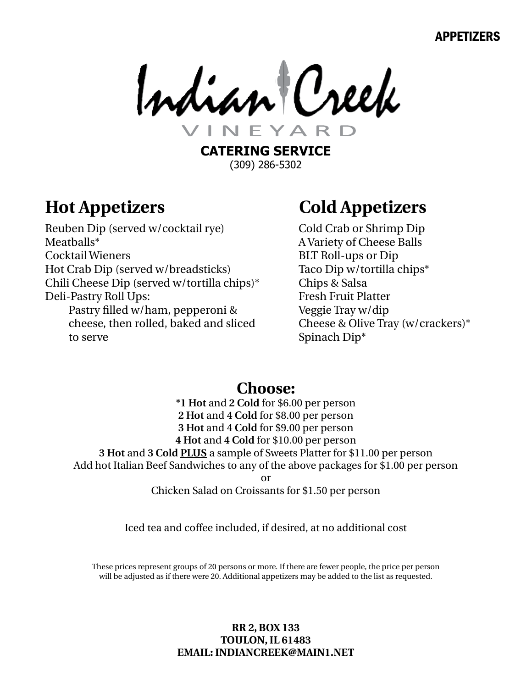### APPETIZERS

Indian Creek EYAR

**CATERING SERVICE** (309) 286-5302

# **Hot Appetizers**

Reuben Dip (served w/cocktail rye) Meatballs\* Cocktail Wieners Hot Crab Dip (served w/breadsticks) Chili Cheese Dip (served w/tortilla chips)\* Deli-Pastry Roll Ups:

Pastry filled w/ham, pepperoni & cheese, then rolled, baked and sliced to serve

# **Cold Appetizers**

Cold Crab or Shrimp Dip A Variety of Cheese Balls BLT Roll-ups or Dip Taco Dip w/tortilla chips\* Chips & Salsa Fresh Fruit Platter Veggie Tray w/dip Cheese & Olive Tray (w/crackers)\* Spinach Dip\*

## **Choose:**

**\*1 Hot** and **2 Cold** for \$6.00 per person **2 Hot** and **4 Cold** for \$8.00 per person **3 Hot** and **4 Cold** for \$9.00 per person **4 Hot** and **4 Cold** for \$10.00 per person **3 Hot** and **3 Cold PLUS** a sample of Sweets Platter for \$11.00 per person Add hot Italian Beef Sandwiches to any of the above packages for \$1.00 per person or

Chicken Salad on Croissants for \$1.50 per person

Iced tea and coffee included, if desired, at no additional cost

These prices represent groups of 20 persons or more. If there are fewer people, the price per person will be adjusted as if there were 20. Additional appetizers may be added to the list as requested.

### **RR 2, Box 133 Toulon, IL 61483 Email: indiancreek@main1.net**